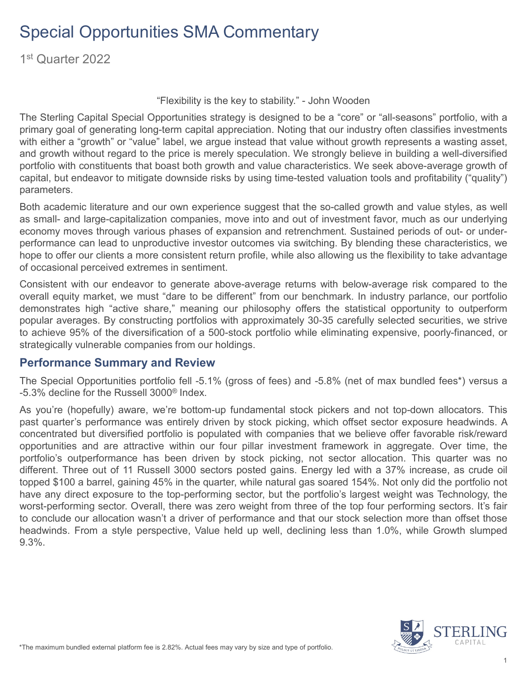1st Quarter 2022

"Flexibility is the key to stability." - John Wooden

The Sterling Capital Special Opportunities strategy is designed to be a "core" or "all-seasons" portfolio, with a primary goal of generating long-term capital appreciation. Noting that our industry often classifies investments with either a "growth" or "value" label, we argue instead that value without growth represents a wasting asset, and growth without regard to the price is merely speculation. We strongly believe in building a well-diversified portfolio with constituents that boast both growth and value characteristics. We seek above-average growth of capital, but endeavor to mitigate downside risks by using time-tested valuation tools and profitability ("quality") parameters.

Both academic literature and our own experience suggest that the so-called growth and value styles, as well as small- and large-capitalization companies, move into and out of investment favor, much as our underlying economy moves through various phases of expansion and retrenchment. Sustained periods of out- or underperformance can lead to unproductive investor outcomes via switching. By blending these characteristics, we hope to offer our clients a more consistent return profile, while also allowing us the flexibility to take advantage of occasional perceived extremes in sentiment.

Consistent with our endeavor to generate above-average returns with below-average risk compared to the overall equity market, we must "dare to be different" from our benchmark. In industry parlance, our portfolio demonstrates high "active share," meaning our philosophy offers the statistical opportunity to outperform popular averages. By constructing portfolios with approximately 30-35 carefully selected securities, we strive to achieve 95% of the diversification of a 500-stock portfolio while eliminating expensive, poorly-financed, or strategically vulnerable companies from our holdings.

#### **Performance Summary and Review**

The Special Opportunities portfolio fell -5.1% (gross of fees) and -5.8% (net of max bundled fees\*) versus a -5.3% decline for the Russell 3000® Index.

As you're (hopefully) aware, we're bottom-up fundamental stock pickers and not top-down allocators. This past quarter's performance was entirely driven by stock picking, which offset sector exposure headwinds. A concentrated but diversified portfolio is populated with companies that we believe offer favorable risk/reward opportunities and are attractive within our four pillar investment framework in aggregate. Over time, the portfolio's outperformance has been driven by stock picking, not sector allocation. This quarter was no different. Three out of 11 Russell 3000 sectors posted gains. Energy led with a 37% increase, as crude oil topped \$100 a barrel, gaining 45% in the quarter, while natural gas soared 154%. Not only did the portfolio not have any direct exposure to the top-performing sector, but the portfolio's largest weight was Technology, the worst-performing sector. Overall, there was zero weight from three of the top four performing sectors. It's fair to conclude our allocation wasn't a driver of performance and that our stock selection more than offset those headwinds. From a style perspective, Value held up well, declining less than 1.0%, while Growth slumped 9.3%.

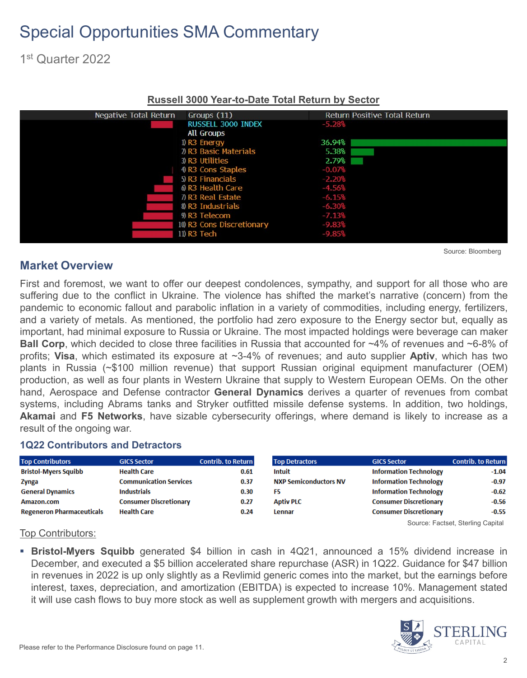1st Quarter 2022

| Negative Total Return | Groups (11)               | Return Positive Total Return |
|-----------------------|---------------------------|------------------------------|
|                       | <b>RUSSELL 3000 INDEX</b> | $-5.28%$                     |
|                       | <b>All Groups</b>         |                              |
|                       | $I)$ R3 Energy            | 36.94%                       |
|                       | 2) R3 Basic Materials     | 5.38%                        |
|                       | 3) R3 Utilities           | 2.79%                        |
|                       | 4 R3 Cons Staples         | $-0.07%$                     |
|                       | 5 R3 Financials           | $-2.20%$                     |
|                       | 6 R3 Health Care          | $-4.56%$                     |
|                       | 7) R3 Real Estate         | $-6.15%$                     |
|                       | 8 R3 Industrials          | $-6.30%$                     |
|                       | 9) R3 Telecom             | $-7.13%$                     |
|                       | 10 R3 Cons Discretionary  | $-9.83%$                     |
|                       | 11) R3 Tech               | $-9.85%$                     |
|                       |                           |                              |

#### **Russell 3000 Year-to-Date Total Return by Sector**

#### **Market Overview**

First and foremost, we want to offer our deepest condolences, sympathy, and support for all those who are suffering due to the conflict in Ukraine. The violence has shifted the market's narrative (concern) from the pandemic to economic fallout and parabolic inflation in a variety of commodities, including energy, fertilizers, and a variety of metals. As mentioned, the portfolio had zero exposure to the Energy sector but, equally as important, had minimal exposure to Russia or Ukraine. The most impacted holdings were beverage can maker **Ball Corp**, which decided to close three facilities in Russia that accounted for ~4% of revenues and ~6-8% of profits; **Visa**, which estimated its exposure at ~3-4% of revenues; and auto supplier **Aptiv**, which has two plants in Russia (~\$100 million revenue) that support Russian original equipment manufacturer (OEM) production, as well as four plants in Western Ukraine that supply to Western European OEMs. On the other hand, Aerospace and Defense contractor **General Dynamics** derives a quarter of revenues from combat systems, including Abrams tanks and Stryker outfitted missile defense systems. In addition, two holdings, **Akamai** and **F5 Networks**, have sizable cybersecurity offerings, where demand is likely to increase as a result of the ongoing war.

#### **1Q22 Contributors and Detractors**

| <b>Top Contributors</b>          | <b>GICS Sector</b>            | <b>Contrib. to Return</b> | <b>Top Detractors</b>        | <b>GICS Sector</b>            | <b>Contrib. to Return</b> |
|----------------------------------|-------------------------------|---------------------------|------------------------------|-------------------------------|---------------------------|
| <b>Bristol-Myers Squibb</b>      | <b>Health Care</b>            | 0.61                      | <b>Intuit</b>                | <b>Information Technology</b> | $-1.04$                   |
| <b>Zynga</b>                     | <b>Communication Services</b> | 0.37                      | <b>NXP Semiconductors NV</b> | <b>Information Technology</b> | $-0.97$                   |
| <b>General Dynamics</b>          | <b>Industrials</b>            | 0.30                      | F5                           | <b>Information Technology</b> | $-0.62$                   |
| Amazon.com                       | <b>Consumer Discretionary</b> | 0.27                      | <b>Aptiv PLC</b>             | <b>Consumer Discretionary</b> | $-0.56$                   |
| <b>Regeneron Pharmaceuticals</b> | <b>Health Care</b>            | 0.24                      | Lennar                       | <b>Consumer Discretionary</b> | $-0.55$                   |

Source: Factset, Sterling Capital

Source: Bloomberg

#### Top Contributors:

 **Bristol-Myers Squibb** generated \$4 billion in cash in 4Q21, announced a 15% dividend increase in December, and executed a \$5 billion accelerated share repurchase (ASR) in 1Q22. Guidance for \$47 billion in revenues in 2022 is up only slightly as a Revlimid generic comes into the market, but the earnings before interest, taxes, depreciation, and amortization (EBITDA) is expected to increase 10%. Management stated it will use cash flows to buy more stock as well as supplement growth with mergers and acquisitions.

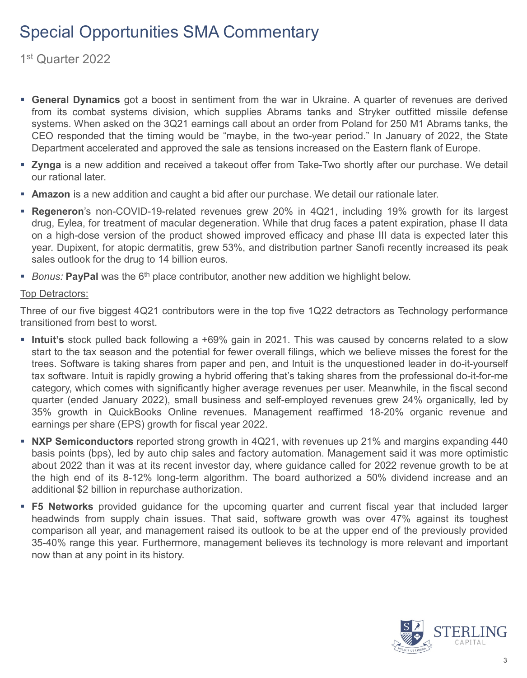1st Quarter 2022

- **General Dynamics** got a boost in sentiment from the war in Ukraine. A quarter of revenues are derived from its combat systems division, which supplies Abrams tanks and Stryker outfitted missile defense systems. When asked on the 3Q21 earnings call about an order from Poland for 250 M1 Abrams tanks, the CEO responded that the timing would be "maybe, in the two-year period." In January of 2022, the State Department accelerated and approved the sale as tensions increased on the Eastern flank of Europe.
- **Zynga** is a new addition and received a takeout offer from Take-Two shortly after our purchase. We detail our rational later.
- **Amazon** is a new addition and caught a bid after our purchase. We detail our rationale later.
- **Regeneron**'s non-COVID-19-related revenues grew 20% in 4Q21, including 19% growth for its largest drug, Eylea, for treatment of macular degeneration. While that drug faces a patent expiration, phase II data on a high-dose version of the product showed improved efficacy and phase III data is expected later this year. Dupixent, for atopic dermatitis, grew 53%, and distribution partner Sanofi recently increased its peak sales outlook for the drug to 14 billion euros.
- **Bonus: PayPal** was the 6<sup>th</sup> place contributor, another new addition we highlight below.

#### **Top Detractors:**

Three of our five biggest 4Q21 contributors were in the top five 1Q22 detractors as Technology performance transitioned from best to worst.

- **Intuit's** stock pulled back following a +69% gain in 2021. This was caused by concerns related to a slow start to the tax season and the potential for fewer overall filings, which we believe misses the forest for the trees. Software is taking shares from paper and pen, and Intuit is the unquestioned leader in do-it-yourself tax software. Intuit is rapidly growing a hybrid offering that's taking shares from the professional do-it-for-me category, which comes with significantly higher average revenues per user. Meanwhile, in the fiscal second quarter (ended January 2022), small business and self-employed revenues grew 24% organically, led by 35% growth in QuickBooks Online revenues. Management reaffirmed 18-20% organic revenue and earnings per share (EPS) growth for fiscal year 2022.
- **NXP Semiconductors** reported strong growth in 4Q21, with revenues up 21% and margins expanding 440 basis points (bps), led by auto chip sales and factory automation. Management said it was more optimistic about 2022 than it was at its recent investor day, where guidance called for 2022 revenue growth to be at the high end of its 8-12% long-term algorithm. The board authorized a 50% dividend increase and an additional \$2 billion in repurchase authorization.
- **F5 Networks** provided guidance for the upcoming quarter and current fiscal year that included larger headwinds from supply chain issues. That said, software growth was over 47% against its toughest comparison all year, and management raised its outlook to be at the upper end of the previously provided 35-40% range this year. Furthermore, management believes its technology is more relevant and important now than at any point in its history.

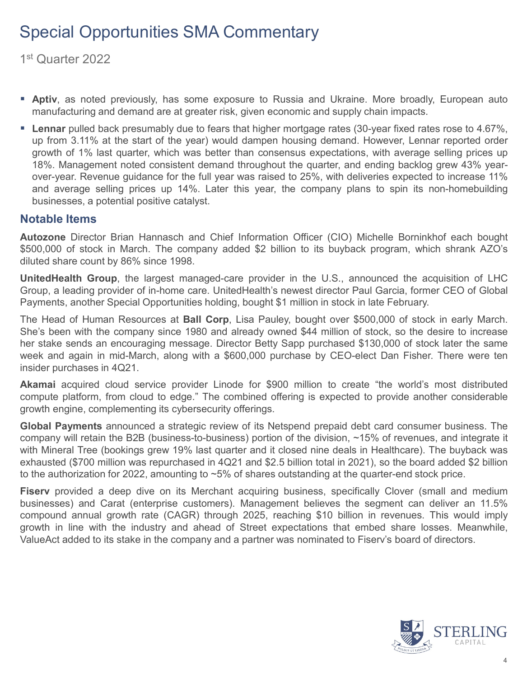1st Quarter 2022

- **Aptiv**, as noted previously, has some exposure to Russia and Ukraine. More broadly, European auto manufacturing and demand are at greater risk, given economic and supply chain impacts.
- **Lennar** pulled back presumably due to fears that higher mortgage rates (30-year fixed rates rose to 4.67%, up from 3.11% at the start of the year) would dampen housing demand. However, Lennar reported order growth of 1% last quarter, which was better than consensus expectations, with average selling prices up 18%. Management noted consistent demand throughout the quarter, and ending backlog grew 43% yearover-year. Revenue guidance for the full year was raised to 25%, with deliveries expected to increase 11% and average selling prices up 14%. Later this year, the company plans to spin its non-homebuilding businesses, a potential positive catalyst.

#### **Notable Items**

**Autozone** Director Brian Hannasch and Chief Information Officer (CIO) Michelle Borninkhof each bought \$500,000 of stock in March. The company added \$2 billion to its buyback program, which shrank AZO's diluted share count by 86% since 1998.

**UnitedHealth Group**, the largest managed-care provider in the U.S., announced the acquisition of LHC Group, a leading provider of in-home care. UnitedHealth's newest director Paul Garcia, former CEO of Global Payments, another Special Opportunities holding, bought \$1 million in stock in late February.

The Head of Human Resources at **Ball Corp**, Lisa Pauley, bought over \$500,000 of stock in early March. She's been with the company since 1980 and already owned \$44 million of stock, so the desire to increase her stake sends an encouraging message. Director Betty Sapp purchased \$130,000 of stock later the same week and again in mid-March, along with a \$600,000 purchase by CEO-elect Dan Fisher. There were ten insider purchases in 4Q21.

**Akamai** acquired cloud service provider Linode for \$900 million to create "the world's most distributed compute platform, from cloud to edge." The combined offering is expected to provide another considerable growth engine, complementing its cybersecurity offerings.

**Global Payments** announced a strategic review of its Netspend prepaid debt card consumer business. The company will retain the B2B (business-to-business) portion of the division, ~15% of revenues, and integrate it with Mineral Tree (bookings grew 19% last quarter and it closed nine deals in Healthcare). The buyback was exhausted (\$700 million was repurchased in 4Q21 and \$2.5 billion total in 2021), so the board added \$2 billion to the authorization for 2022, amounting to ~5% of shares outstanding at the quarter-end stock price.

**Fiserv** provided a deep dive on its Merchant acquiring business, specifically Clover (small and medium businesses) and Carat (enterprise customers). Management believes the segment can deliver an 11.5% compound annual growth rate (CAGR) through 2025, reaching \$10 billion in revenues. This would imply growth in line with the industry and ahead of Street expectations that embed share losses. Meanwhile, ValueAct added to its stake in the company and a partner was nominated to Fiserv's board of directors.

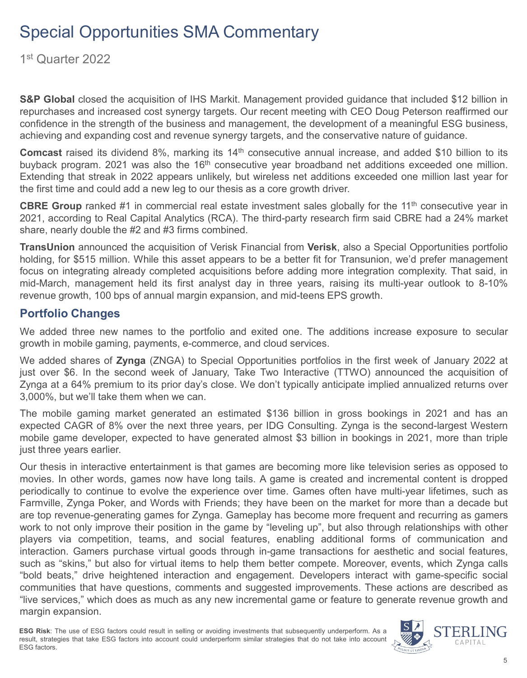1st Quarter 2022

**S&P Global** closed the acquisition of IHS Markit. Management provided guidance that included \$12 billion in repurchases and increased cost synergy targets. Our recent meeting with CEO Doug Peterson reaffirmed our confidence in the strength of the business and management, the development of a meaningful ESG business, achieving and expanding cost and revenue synergy targets, and the conservative nature of guidance.

**Comcast** raised its dividend 8%, marking its 14<sup>th</sup> consecutive annual increase, and added \$10 billion to its buyback program. 2021 was also the 16<sup>th</sup> consecutive year broadband net additions exceeded one million. Extending that streak in 2022 appears unlikely, but wireless net additions exceeded one million last year for the first time and could add a new leg to our thesis as a core growth driver.

**CBRE Group** ranked #1 in commercial real estate investment sales globally for the 11<sup>th</sup> consecutive year in 2021, according to Real Capital Analytics (RCA). The third-party research firm said CBRE had a 24% market share, nearly double the #2 and #3 firms combined.

**TransUnion** announced the acquisition of Verisk Financial from **Verisk**, also a Special Opportunities portfolio holding, for \$515 million. While this asset appears to be a better fit for Transunion, we'd prefer management focus on integrating already completed acquisitions before adding more integration complexity. That said, in mid-March, management held its first analyst day in three years, raising its multi-year outlook to 8-10% revenue growth, 100 bps of annual margin expansion, and mid-teens EPS growth.

#### **Portfolio Changes**

We added three new names to the portfolio and exited one. The additions increase exposure to secular growth in mobile gaming, payments, e-commerce, and cloud services.

We added shares of **Zynga** (ZNGA) to Special Opportunities portfolios in the first week of January 2022 at just over \$6. In the second week of January, Take Two Interactive (TTWO) announced the acquisition of Zynga at a 64% premium to its prior day's close. We don't typically anticipate implied annualized returns over 3,000%, but we'll take them when we can.

The mobile gaming market generated an estimated \$136 billion in gross bookings in 2021 and has an expected CAGR of 8% over the next three years, per IDG Consulting. Zynga is the second-largest Western mobile game developer, expected to have generated almost \$3 billion in bookings in 2021, more than triple just three years earlier.

Our thesis in interactive entertainment is that games are becoming more like television series as opposed to movies. In other words, games now have long tails. A game is created and incremental content is dropped periodically to continue to evolve the experience over time. Games often have multi-year lifetimes, such as Farmville, Zynga Poker, and Words with Friends; they have been on the market for more than a decade but are top revenue-generating games for Zynga. Gameplay has become more frequent and recurring as gamers work to not only improve their position in the game by "leveling up", but also through relationships with other players via competition, teams, and social features, enabling additional forms of communication and interaction. Gamers purchase virtual goods through in-game transactions for aesthetic and social features, such as "skins," but also for virtual items to help them better compete. Moreover, events, which Zynga calls "bold beats," drive heightened interaction and engagement. Developers interact with game-specific social communities that have questions, comments and suggested improvements. These actions are described as "live services," which does as much as any new incremental game or feature to generate revenue growth and margin expansion.

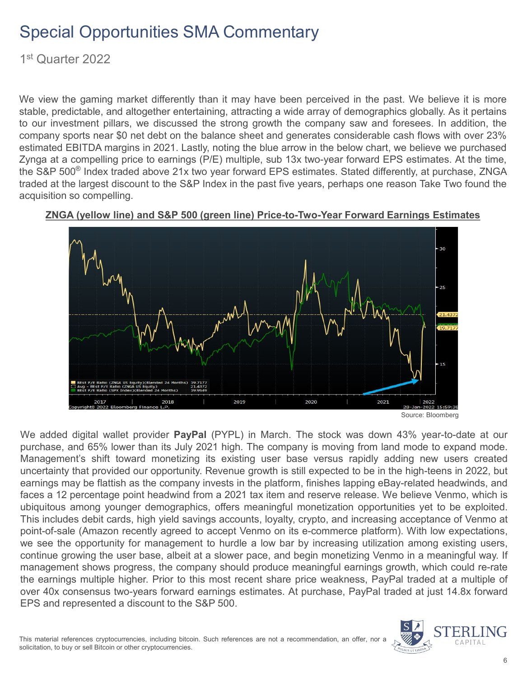1st Quarter 2022

We view the gaming market differently than it may have been perceived in the past. We believe it is more stable, predictable, and altogether entertaining, attracting a wide array of demographics globally. As it pertains to our investment pillars, we discussed the strong growth the company saw and foresees. In addition, the company sports near \$0 net debt on the balance sheet and generates considerable cash flows with over 23% estimated EBITDA margins in 2021. Lastly, noting the blue arrow in the below chart, we believe we purchased Zynga at a compelling price to earnings (P/E) multiple, sub 13x two-year forward EPS estimates. At the time, the S&P 500<sup>®</sup> Index traded above 21x two year forward EPS estimates. Stated differently, at purchase, ZNGA traded at the largest discount to the S&P Index in the past five years, perhaps one reason Take Two found the acquisition so compelling.



#### **ZNGA (yellow line) and S&P 500 (green line) Price-to-Two-Year Forward Earnings Estimates**

We added digital wallet provider **PayPal** (PYPL) in March. The stock was down 43% year-to-date at our purchase, and 65% lower than its July 2021 high. The company is moving from land mode to expand mode. Management's shift toward monetizing its existing user base versus rapidly adding new users created uncertainty that provided our opportunity. Revenue growth is still expected to be in the high-teens in 2022, but earnings may be flattish as the company invests in the platform, finishes lapping eBay-related headwinds, and faces a 12 percentage point headwind from a 2021 tax item and reserve release. We believe Venmo, which is ubiquitous among younger demographics, offers meaningful monetization opportunities yet to be exploited. This includes debit cards, high yield savings accounts, loyalty, crypto, and increasing acceptance of Venmo at point-of-sale (Amazon recently agreed to accept Venmo on its e-commerce platform). With low expectations, we see the opportunity for management to hurdle a low bar by increasing utilization among existing users, continue growing the user base, albeit at a slower pace, and begin monetizing Venmo in a meaningful way. If management shows progress, the company should produce meaningful earnings growth, which could re-rate the earnings multiple higher. Prior to this most recent share price weakness, PayPal traded at a multiple of over 40x consensus two-years forward earnings estimates. At purchase, PayPal traded at just 14.8x forward EPS and represented a discount to the S&P 500.

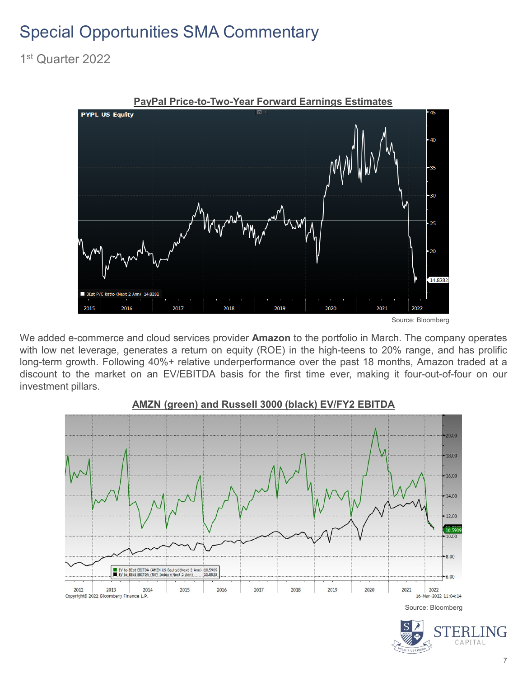1st Quarter 2022



We added e-commerce and cloud services provider **Amazon** to the portfolio in March. The company operates with low net leverage, generates a return on equity (ROE) in the high-teens to 20% range, and has prolific long-term growth. Following 40%+ relative underperformance over the past 18 months, Amazon traded at a discount to the market on an EV/EBITDA basis for the first time ever, making it four-out-of-four on our investment pillars.



#### **AMZN (green) and Russell 3000 (black) EV/FY2 EBITDA**



Source: Bloomberg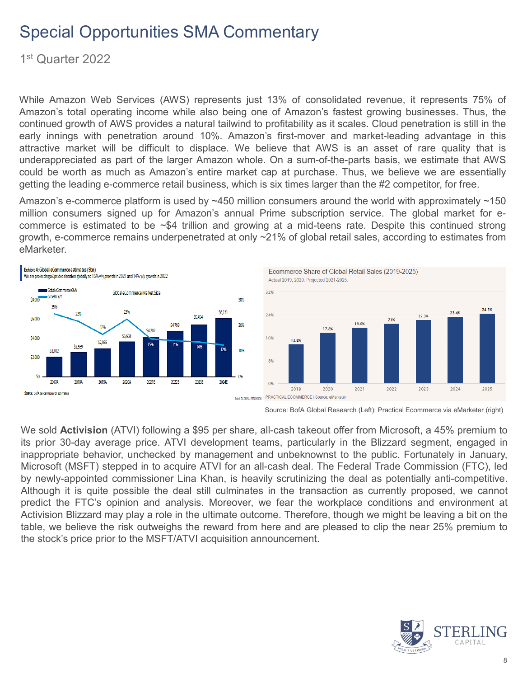1st Quarter 2022

While Amazon Web Services (AWS) represents just 13% of consolidated revenue, it represents 75% of Amazon's total operating income while also being one of Amazon's fastest growing businesses. Thus, the continued growth of AWS provides a natural tailwind to profitability as it scales. Cloud penetration is still in the early innings with penetration around 10%. Amazon's first-mover and market-leading advantage in this attractive market will be difficult to displace. We believe that AWS is an asset of rare quality that is underappreciated as part of the larger Amazon whole. On a sum-of-the-parts basis, we estimate that AWS could be worth as much as Amazon's entire market cap at purchase. Thus, we believe we are essentially getting the leading e-commerce retail business, which is six times larger than the #2 competitor, for free.

Amazon's e-commerce platform is used by ~450 million consumers around the world with approximately ~150 million consumers signed up for Amazon's annual Prime subscription service. The global market for ecommerce is estimated to be ~\$4 trillion and growing at a mid-teens rate. Despite this continued strong growth, e-commerce remains underpenetrated at only ~21% of global retail sales, according to estimates from eMarketer.





Source: BofA Global Research (Left); Practical Ecommerce via eMarketer (right)

We sold **Activision** (ATVI) following a \$95 per share, all-cash takeout offer from Microsoft, a 45% premium to its prior 30-day average price. ATVI development teams, particularly in the Blizzard segment, engaged in inappropriate behavior, unchecked by management and unbeknownst to the public. Fortunately in January, Microsoft (MSFT) stepped in to acquire ATVI for an all-cash deal. The Federal Trade Commission (FTC), led by newly-appointed commissioner Lina Khan, is heavily scrutinizing the deal as potentially anti-competitive. Although it is quite possible the deal still culminates in the transaction as currently proposed, we cannot predict the FTC's opinion and analysis. Moreover, we fear the workplace conditions and environment at Activision Blizzard may play a role in the ultimate outcome. Therefore, though we might be leaving a bit on the table, we believe the risk outweighs the reward from here and are pleased to clip the near 25% premium to the stock's price prior to the MSFT/ATVI acquisition announcement.

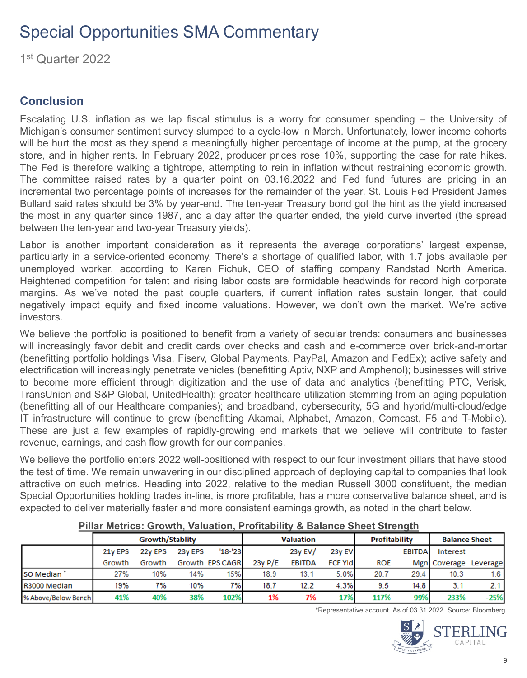1st Quarter 2022

### **Conclusion**

Escalating U.S. inflation as we lap fiscal stimulus is a worry for consumer spending – the University of Michigan's consumer sentiment survey slumped to a cycle-low in March. Unfortunately, lower income cohorts will be hurt the most as they spend a meaningfully higher percentage of income at the pump, at the grocery store, and in higher rents. In February 2022, producer prices rose 10%, supporting the case for rate hikes. The Fed is therefore walking a tightrope, attempting to rein in inflation without restraining economic growth. The committee raised rates by a quarter point on 03.16.2022 and Fed fund futures are pricing in an incremental two percentage points of increases for the remainder of the year. St. Louis Fed President James Bullard said rates should be 3% by year-end. The ten-year Treasury bond got the hint as the yield increased the most in any quarter since 1987, and a day after the quarter ended, the yield curve inverted (the spread between the ten-year and two-year Treasury yields).

Labor is another important consideration as it represents the average corporations' largest expense, particularly in a service-oriented economy. There's a shortage of qualified labor, with 1.7 jobs available per unemployed worker, according to Karen Fichuk, CEO of staffing company Randstad North America. Heightened competition for talent and rising labor costs are formidable headwinds for record high corporate margins. As we've noted the past couple quarters, if current inflation rates sustain longer, that could negatively impact equity and fixed income valuations. However, we don't own the market. We're active investors.

We believe the portfolio is positioned to benefit from a variety of secular trends: consumers and businesses will increasingly favor debit and credit cards over checks and cash and e-commerce over brick-and-mortar (benefitting portfolio holdings Visa, Fiserv, Global Payments, PayPal, Amazon and FedEx); active safety and electrification will increasingly penetrate vehicles (benefitting Aptiv, NXP and Amphenol); businesses will strive to become more efficient through digitization and the use of data and analytics (benefitting PTC, Verisk, TransUnion and S&P Global, UnitedHealth); greater healthcare utilization stemming from an aging population (benefitting all of our Healthcare companies); and broadband, cybersecurity, 5G and hybrid/multi-cloud/edge IT infrastructure will continue to grow (benefitting Akamai, Alphabet, Amazon, Comcast, F5 and T-Mobile). These are just a few examples of rapidly-growing end markets that we believe will contribute to faster revenue, earnings, and cash flow growth for our companies.

We believe the portfolio enters 2022 well-positioned with respect to our four investment pillars that have stood the test of time. We remain unwavering in our disciplined approach of deploying capital to companies that look attractive on such metrics. Heading into 2022, relative to the median Russell 3000 constituent, the median Special Opportunities holding trades in-line, is more profitable, has a more conservative balance sheet, and is expected to deliver materially faster and more consistent earnings growth, as noted in the chart below.

|                     |         | <b>Growth/Stablity</b> |         |                 | <b>Valuation</b> |               |                 | <b>Profitability</b> |               | <b>Balance Sheet</b> |          |
|---------------------|---------|------------------------|---------|-----------------|------------------|---------------|-----------------|----------------------|---------------|----------------------|----------|
|                     | 21y EPS | 22y EPS                | 23y EPS | $'18 - '23$     |                  | 23y EV/       | 23y EV          |                      | <b>EBITDA</b> | <b>Interest</b>      |          |
|                     | Growth  | Growth                 |         | Growth EPS CAGR | 23y P/E          | <b>EBITDA</b> | <b>FCF YIdl</b> | <b>ROE</b>           |               | Mgn Coverage         | Leverage |
| SO Median           | 27%     | 10%                    | 14%     | 15%             | 18.9             | 13.1          | 5.0%            | 20.7                 | 29.4          | 10.3                 |          |
| R3000 Median        | 19%     | 7%                     | 10%     | 7%              | 18.7             | 12.2          | 4.3%            | 9.5                  | 14.8          | 3.1                  |          |
| % Above/Below Bench | 41%     | 40%                    | 38%     | 102%            | 1%               | 7%            | 17%             | 117%                 | 99%           | 233%                 | $-25%$   |

#### **Pillar Metrics: Growth, Valuation, Profitability & Balance Sheet Strength**

\*Representative account. As of 03.31.2022. Source: Bloomberg

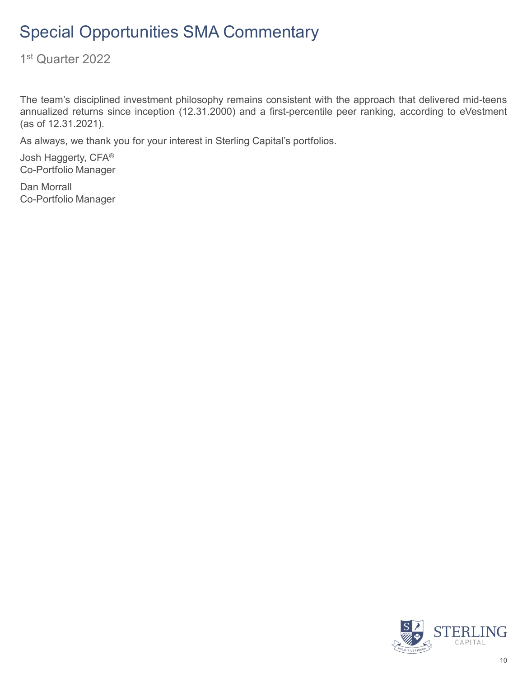1st Quarter 2022

The team's disciplined investment philosophy remains consistent with the approach that delivered mid-teens annualized returns since inception (12.31.2000) and a first-percentile peer ranking, according to eVestment (as of 12.31.2021).

As always, we thank you for your interest in Sterling Capital's portfolios.

Josh Haggerty, CFA® Co-Portfolio Manager

Dan Morrall Co-Portfolio Manager

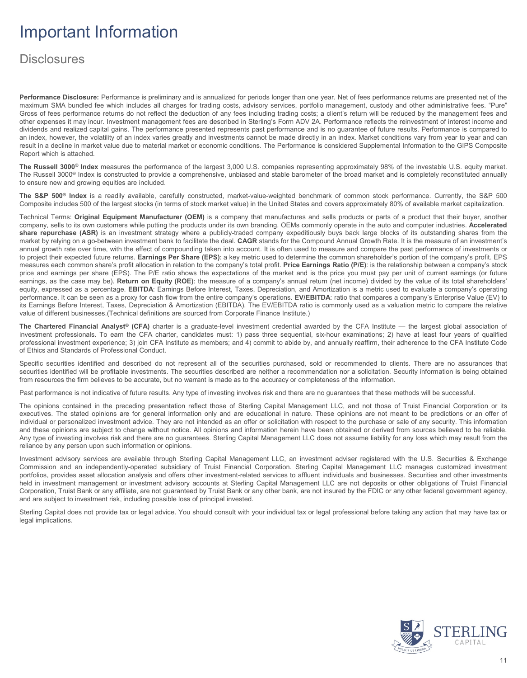# Important Information

## **Disclosures**

**Performance Disclosure:** Performance is preliminary and is annualized for periods longer than one year. Net of fees performance returns are presented net of the maximum SMA bundled fee which includes all charges for trading costs, advisory services, portfolio management, custody and other administrative fees. "Pure" Gross of fees performance returns do not reflect the deduction of any fees including trading costs; a client's return will be reduced by the management fees and other expenses it may incur. Investment management fees are described in Sterling's Form ADV 2A. Performance reflects the reinvestment of interest income and dividends and realized capital gains. The performance presented represents past performance and is no guarantee of future results. Performance is compared to an index, however, the volatility of an index varies greatly and investments cannot be made directly in an index. Market conditions vary from year to year and can result in a decline in market value due to material market or economic conditions. The Performance is considered Supplemental Information to the GIPS Composite Report which is attached.

**The Russell 3000® Index** measures the performance of the largest 3,000 U.S. companies representing approximately 98% of the investable U.S. equity market. The Russell 3000® Index is constructed to provide a comprehensive, unbiased and stable barometer of the broad market and is completely reconstituted annually to ensure new and growing equities are included.

**The S&P 500® Index** is a readily available, carefully constructed, market-value-weighted benchmark of common stock performance. Currently, the S&P 500 Composite includes 500 of the largest stocks (in terms of stock market value) in the United States and covers approximately 80% of available market capitalization.

Technical Terms: **Original Equipment Manufacturer (OEM)** is a company that manufactures and sells products or parts of a product that their buyer, another company, sells to its own customers while putting the products under its own branding. OEMs commonly operate in the auto and computer industries. **Accelerated share repurchase (ASR)** is an investment strategy where a publicly-traded company expeditiously buys back large blocks of its outstanding shares from the market by relying on a go-between investment bank to facilitate the deal. **CAGR** stands for the Compound Annual Growth Rate. It is the measure of an investment's annual growth rate over time, with the effect of compounding taken into account. It is often used to measure and compare the past performance of investments or to project their expected future returns. **Earnings Per Share (EPS)**: a key metric used to determine the common shareholder's portion of the company's profit. EPS measures each common share's profit allocation in relation to the company's total profit. **Price Earnings Ratio (P/E)**: is the relationship between a company's stock price and earnings per share (EPS). The P/E ratio shows the expectations of the market and is the price you must pay per unit of current earnings (or future earnings, as the case may be). **Return on Equity (ROE)**: the measure of a company's annual return (net income) divided by the value of its total shareholders' equity, expressed as a percentage. **EBITDA**: Earnings Before Interest, Taxes, Depreciation, and Amortization is a metric used to evaluate a company's operating performance. It can be seen as a proxy for cash flow from the entire company's operations. **EV/EBITDA**: ratio that compares a company's Enterprise Value (EV) to its Earnings Before Interest, Taxes, Depreciation & Amortization (EBITDA). The EV/EBITDA ratio is commonly used as a valuation metric to compare the relative value of different businesses.(Technical definitions are sourced from Corporate Finance Institute.)

**The Chartered Financial Analyst® (CFA)** charter is a graduate-level investment credential awarded by the CFA Institute — the largest global association of investment professionals. To earn the CFA charter, candidates must: 1) pass three sequential, six-hour examinations; 2) have at least four years of qualified professional investment experience; 3) join CFA Institute as members; and 4) commit to abide by, and annually reaffirm, their adherence to the CFA Institute Code of Ethics and Standards of Professional Conduct.

Specific securities identified and described do not represent all of the securities purchased, sold or recommended to clients. There are no assurances that securities identified will be profitable investments. The securities described are neither a recommendation nor a solicitation. Security information is being obtained from resources the firm believes to be accurate, but no warrant is made as to the accuracy or completeness of the information.

Past performance is not indicative of future results. Any type of investing involves risk and there are no guarantees that these methods will be successful.

The opinions contained in the preceding presentation reflect those of Sterling Capital Management LLC, and not those of Truist Financial Corporation or its executives. The stated opinions are for general information only and are educational in nature. These opinions are not meant to be predictions or an offer of individual or personalized investment advice. They are not intended as an offer or solicitation with respect to the purchase or sale of any security. This information and these opinions are subject to change without notice. All opinions and information herein have been obtained or derived from sources believed to be reliable. Any type of investing involves risk and there are no guarantees. Sterling Capital Management LLC does not assume liability for any loss which may result from the reliance by any person upon such information or opinions.

Investment advisory services are available through Sterling Capital Management LLC, an investment adviser registered with the U.S. Securities & Exchange Commission and an independently-operated subsidiary of Truist Financial Corporation. Sterling Capital Management LLC manages customized investment portfolios, provides asset allocation analysis and offers other investment-related services to affluent individuals and businesses. Securities and other investments held in investment management or investment advisory accounts at Sterling Capital Management LLC are not deposits or other obligations of Truist Financial Corporation, Truist Bank or any affiliate, are not guaranteed by Truist Bank or any other bank, are not insured by the FDIC or any other federal government agency, and are subject to investment risk, including possible loss of principal invested.

Sterling Capital does not provide tax or legal advice. You should consult with your individual tax or legal professional before taking any action that may have tax or legal implications.